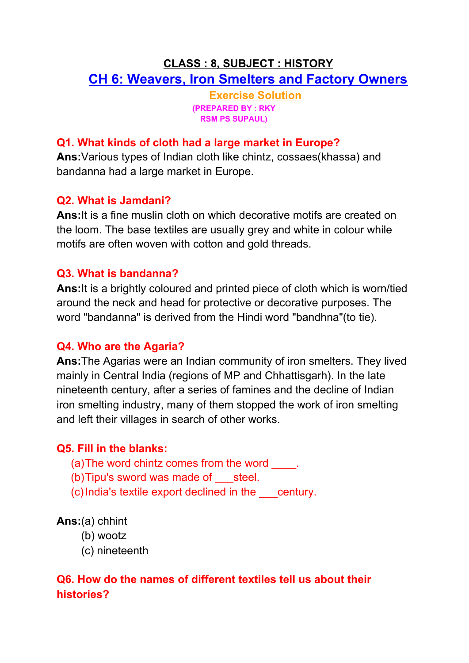# **CLASS : 8, SUBJECT : HISTORY CH 6: Weavers, Iron Smelters and Factory Owners**

**Exercise Solution (PREPARED BY : RKY RSM PS SUPAUL)**

### **Q1. What kinds of cloth had a large market in Europe?**

**Ans:**Various types of Indian cloth like chintz, cossaes(khassa) and bandanna had a large market in Europe.

### **Q2. What is Jamdani?**

**Ans:**It is a fine muslin cloth on which decorative motifs are created on the loom. The base textiles are usually grey and white in colour while motifs are often woven with cotton and gold threads.

### **Q3. What is bandanna?**

**Ans:**It is a brightly coloured and printed piece of cloth which is worn/tied around the neck and head for protective or decorative purposes. The word "bandanna" is derived from the Hindi word "bandhna"(to tie).

### **Q4. Who are the Agaria?**

**Ans:**The Agarias were an Indian community of iron smelters. They lived mainly in Central India (regions of MP and Chhattisgarh). In the late nineteenth century, after a series of famines and the decline of Indian iron smelting industry, many of them stopped the work of iron smelting and left their villages in search of other works.

### **Q5. Fill in the blanks:**

- (a) The word chintz comes from the word
- (b)Tipu's sword was made of \_\_\_steel.
- (c)India's textile export declined in the \_\_\_century.

### **Ans:**(a) chhint

- (b) wootz
- (c) nineteenth

# **Q6. How do the names of different textiles tell us about their histories?**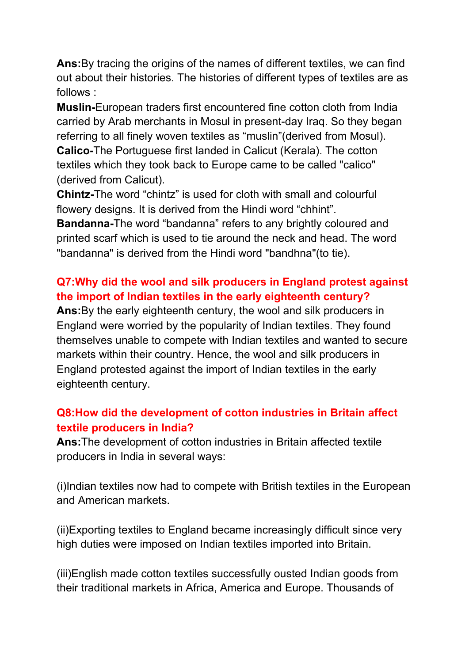**Ans:**By tracing the origins of the names of different textiles, we can find out about their histories. The histories of different types of textiles are as follows :

**Muslin-**European traders first encountered fine cotton cloth from India carried by Arab merchants in Mosul in present-day Iraq. So they began referring to all finely woven textiles as "muslin"(derived from Mosul). **Calico-**The Portuguese first landed in Calicut (Kerala). The cotton textiles which they took back to Europe came to be called "calico" (derived from Calicut).

**Chintz-**The word "chintz" is used for cloth with small and colourful flowery designs. It is derived from the Hindi word "chhint".

**Bandanna-**The word "bandanna" refers to any brightly coloured and printed scarf which is used to tie around the neck and head. The word "bandanna" is derived from the Hindi word "bandhna"(to tie).

# **Q7:Why did the wool and silk producers in England protest against the import of Indian textiles in the early eighteenth century?**

**Ans:**By the early eighteenth century, the wool and silk producers in England were worried by the popularity of Indian textiles. They found themselves unable to compete with Indian textiles and wanted to secure markets within their country. Hence, the wool and silk producers in England protested against the import of Indian textiles in the early eighteenth century.

# **Q8:How did the development of cotton industries in Britain affect textile producers in India?**

**Ans:**The development of cotton industries in Britain affected textile producers in India in several ways:

(i)Indian textiles now had to compete with British textiles in the European and American markets.

(ii)Exporting textiles to England became increasingly difficult since very high duties were imposed on Indian textiles imported into Britain.

(iii)English made cotton textiles successfully ousted Indian goods from their traditional markets in Africa, America and Europe. Thousands of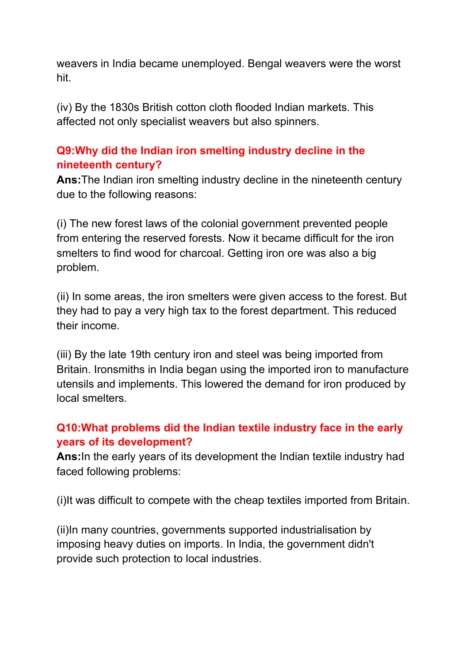weavers in India became unemployed. Bengal weavers were the worst hit.

(iv) By the 1830s British cotton cloth flooded Indian markets. This affected not only specialist weavers but also spinners.

### **Q9:Why did the Indian iron smelting industry decline in the nineteenth century?**

**Ans:**The Indian iron smelting industry decline in the nineteenth century due to the following reasons:

(i) The new forest laws of the colonial government prevented people from entering the reserved forests. Now it became difficult for the iron smelters to find wood for charcoal. Getting iron ore was also a big problem.

(ii) In some areas, the iron smelters were given access to the forest. But they had to pay a very high tax to the forest department. This reduced their income.

(iii) By the late 19th century iron and steel was being imported from Britain. Ironsmiths in India began using the imported iron to manufacture utensils and implements. This lowered the demand for iron produced by local smelters.

# **Q10:What problems did the Indian textile industry face in the early years of its development?**

**Ans:**In the early years of its development the Indian textile industry had faced following problems:

(i)It was difficult to compete with the cheap textiles imported from Britain.

(ii)In many countries, governments supported industrialisation by imposing heavy duties on imports. In India, the government didn't provide such protection to local industries.